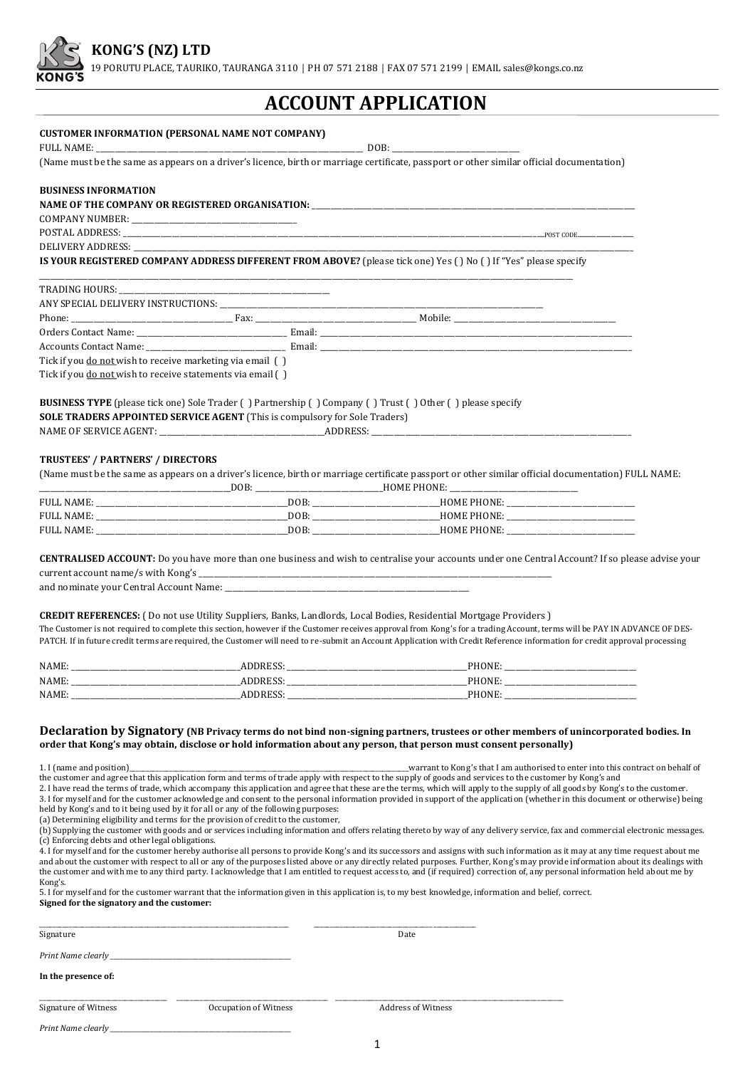

19 PORUTU PLACE, TAURIKO, TAURANGA 3110 │ PH 07 571 2188 │ FAX 07 571 2199 │ EMAIL sales@kongs.co.nz

# **ACCOUNT APPLICATION**

#### **CUSTOMER INFORMATION (PERSONAL NAME NOT COMPANY)**

FULL NAME:  $\Box$ 

(Name must be the same as appears on a driver's licence, birth or marriage certificate, passport or other similar official documentation)

#### **BUSINESS INFORMATION**

#### NAME OF THE COMPANY OR REGISTERED ORGANISATION: \_\_\_\_\_\_\_\_\_\_\_\_\_\_\_\_\_\_\_\_\_\_\_\_\_\_\_\_\_\_\_\_

COMPANY NUMBER:

POSTAL ADDRESS: \_\_\_\_\_\_\_\_\_\_\_\_\_\_\_\_\_\_\_\_\_\_\_\_\_\_\_\_\_\_\_\_\_\_\_\_\_\_\_\_\_\_\_\_\_\_\_\_\_\_\_\_\_\_\_\_\_\_\_\_\_\_\_\_\_\_\_\_\_\_\_\_\_\_\_\_\_\_\_\_\_\_\_\_\_\_\_\_\_\_\_\_\_\_\_\_\_\_\_\_\_\_\_\_\_\_\_\_\_\_\_\_POST CODE\_\_\_\_\_\_\_\_\_\_\_\_\_\_\_

DELIVERY ADDRESS:

**IS YOUR REGISTERED COMPANY ADDRESS DIFFERENT FROM ABOVE?** (please tick one) Yes ( ) No ( ) If "Yes" please specify \_\_\_\_\_\_\_\_\_\_\_\_\_\_\_\_\_\_\_\_\_\_\_\_\_\_\_\_\_\_\_\_\_\_\_\_\_\_\_\_\_\_\_\_\_\_\_\_\_\_\_\_\_\_\_\_\_\_\_\_\_\_\_\_\_\_\_\_\_\_\_\_\_\_\_\_\_\_\_\_\_\_\_\_\_\_\_\_\_\_\_\_\_\_\_\_\_\_\_\_\_\_\_\_\_\_\_\_\_\_\_\_\_\_\_\_\_\_\_\_\_\_\_\_\_\_\_\_\_\_\_\_\_\_\_\_\_\_\_\_\_\_

| Orders Contact Name: The Contest of Texas Contact Name: Email: Contact Name: The Contact Name: The Contest of Texas Contest of Texas Contest of Texas Contest of Texas Contest of Texas Contest of Texas Contest of Texas Cont |  |  |
|--------------------------------------------------------------------------------------------------------------------------------------------------------------------------------------------------------------------------------|--|--|
|                                                                                                                                                                                                                                |  |  |
| Tick if you do not wish to receive marketing via email ()                                                                                                                                                                      |  |  |
| Tick if you do not wish to receive statements via email ()                                                                                                                                                                     |  |  |

**BUSINESS TYPE** (please tick one) Sole Trader ( ) Partnership ( ) Company ( ) Trust ( ) Other ( ) please specify **SOLE TRADERS APPOINTED SERVICE AGENT** (This is compulsory for Sole Traders) NAME OF SERVICE AGENT:  $\blacksquare$ 

#### **TRUSTEES' / PARTNERS' / DIRECTORS**

(Name must be the same as appears on a driver's licence, birth or marriage certificate passport or other similar official documentation) FULL NAME:

|                   | DOR: | <b>HOME PHONE:</b> |  |
|-------------------|------|--------------------|--|
| <b>FULL NAME:</b> | DOB  | <b>HOME PHONE:</b> |  |
| FULL NAME:        | DOB  | <b>HOME PHONE:</b> |  |
| <b>FULL NAME:</b> | DOB  | <b>HOME PHONE:</b> |  |

**CENTRALISED ACCOUNT:** Do you have more than one business and wish to centralise your accounts under one Central Account? If so please advise your current account name/s with Kong's \_

and nominate your Central Account Name:

**CREDIT REFERENCES:** ( Do not use Utility Suppliers, Banks, Landlords, Local Bodies, Residential Mortgage Providers ) The Customer is not required to complete this section, however if the Customer receives approval from Kong's for a trading Account, terms will be PAY IN ADVANCE OF DES-PATCH. If in future credit terms are required, the Customer will need to re-submit an Account Application with Credit Reference information for credit approval processing

| <b>NAME</b> |     |                        |
|-------------|-----|------------------------|
| <b>NAME</b> |     | .                      |
| <b>NAME</b> | ___ | _________<br>_________ |

#### **Declaration by Signatory (NB Privacy terms do not bind non-signing partners, trustees or other members of unincorporated bodies. In order that Kong's may obtain, disclose or hold information about any person, that person must consent personally)**

1. I (name and position)\_\_\_\_\_\_\_\_\_\_\_\_\_\_\_\_\_\_\_\_\_\_\_\_\_\_\_\_\_\_\_\_\_\_\_\_\_\_\_\_\_\_\_\_\_\_\_\_\_\_\_\_\_\_\_\_\_\_\_\_\_\_\_\_\_\_\_\_\_\_\_\_\_\_\_\_\_\_\_\_\_\_\_\_\_warrant to Kong's that I am authorised to enter into this contract on behalf of the customer and agree that this application form and terms of trade apply with respect to the supply of goods and services to the customer by Kong's and

2. I have read the terms of trade, which accompany this application and agree that these are the terms, which will apply to the supply of all goods by Kong's to the customer. 3. I for myself and for the customer acknowledge and consent to the personal information provided in support of the application (whether in this document or otherwise) being

held by Kong's and to it being used by it for all or any of the following purposes:

(a) Determining eligibility and terms for the provision of credit to the customer,

| (b) Supplying the customer with goods and or services including information and offers relating thereto by way of any delivery service, fax and commercial electronic messages. |  |
|---------------------------------------------------------------------------------------------------------------------------------------------------------------------------------|--|
| (c) Enforcing debts and other legal obligations.                                                                                                                                |  |

4. I for myself and for the customer hereby authorise all persons to provide Kong's and its successors and assigns with such information as it may at any time request about me and about the customer with respect to all or any of the purposes listed above or any directly related purposes. Further, Kong's may provide information about its dealings with the customer and with me to any third party. I acknowledge that I am entitled to request access to, and (if required) correction of, any personal information held about me by Kong's.

5. I for myself and for the customer warrant that the information given in this application is, to my best knowledge, information and belief, correct.

**Signed for the signatory and the customer:** 

Signature Date Date of the Date of the Date of the Date of the Date of the Date of the Date of the Date of the

*Print Name clearly* 

**In the presence of:** 

Signature of Witness Occupation of Witness Address of Witness

\_\_\_\_\_\_\_\_\_\_\_\_\_\_\_\_\_\_\_\_\_\_\_\_\_\_\_\_\_\_\_\_\_\_\_\_\_\_\_\_\_\_\_\_\_\_\_\_\_\_\_\_\_\_\_\_\_\_\_\_\_\_\_\_\_\_\_\_\_\_\_\_\_\_\_\_ \_\_\_\_\_\_\_\_\_\_\_\_\_\_\_\_\_\_\_\_\_\_\_\_\_\_\_\_\_\_\_\_\_\_\_\_\_\_\_\_\_\_\_\_\_\_\_\_\_

\_\_\_\_\_\_\_\_\_\_\_\_\_\_\_\_\_\_\_\_\_\_\_\_\_\_\_\_\_\_\_\_\_\_\_\_\_\_\_ \_\_\_\_\_\_\_\_\_\_\_\_\_\_\_\_\_\_\_\_\_\_\_\_\_\_\_\_\_\_\_\_\_\_\_\_\_\_\_\_\_\_\_\_\_\_ \_\_\_\_\_\_\_\_\_\_\_\_\_\_\_\_\_\_\_\_\_\_\_\_\_\_\_\_\_\_\_\_\_\_\_\_\_\_\_\_\_\_\_\_\_\_\_\_\_\_\_\_\_\_\_\_\_\_\_\_\_\_\_\_\_\_\_\_\_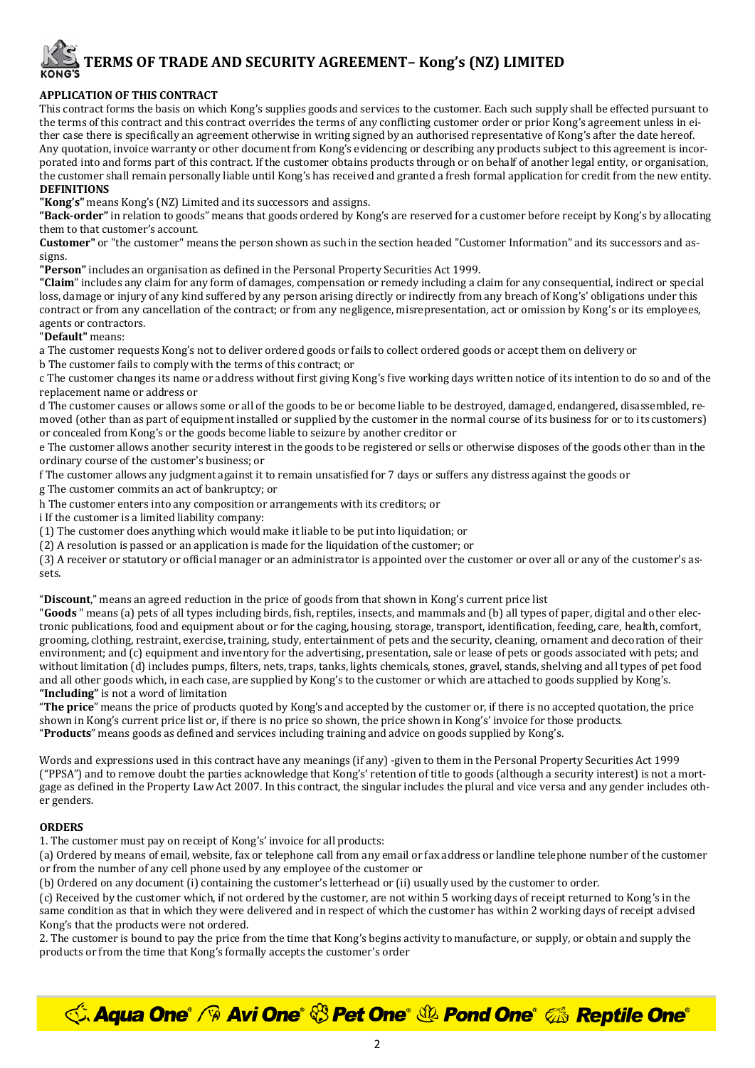# **TERMS OF TRADE AND SECURITY AGREEMENT– Kong's (NZ) LIMITED**

# **APPLICATION OF THIS CONTRACT**

This contract forms the basis on which Kong's supplies goods and services to the customer. Each such supply shall be effected pursuant to the terms of this contract and this contract overrides the terms of any conflicting customer order or prior Kong's agreement unless in either case there is specifically an agreement otherwise in writing signed by an authorised representative of Kong's after the date hereof. Any quotation, invoice warranty or other document from Kong's evidencing or describing any products subject to this agreement is incorporated into and forms part of this contract. If the customer obtains products through or on behalf of another legal entity, or organisation, the customer shall remain personally liable until Kong's has received and granted a fresh formal application for credit from the new entity. **DEFINITIONS** 

**"Kong's"** means Kong's (NZ) Limited and its successors and assigns.

**"Back-order"** in relation to goods" means that goods ordered by Kong's are reserved for a customer before receipt by Kong's by allocating them to that customer's account.

**Customer"** or "the customer" means the person shown as such in the section headed "Customer Information" and its successors and assigns.

**"Person"** includes an organisation as defined in the Personal Property Securities Act 1999.

**"Claim**" includes any claim for any form of damages, compensation or remedy including a claim for any consequential, indirect or special loss, damage or injury of any kind suffered by any person arising directly or indirectly from any breach of Kong's' obligations under this contract or from any cancellation of the contract; or from any negligence, misrepresentation, act or omission by Kong's or its employees, agents or contractors.

"**Default"** means:

a The customer requests Kong's not to deliver ordered goods or fails to collect ordered goods or accept them on delivery or

b The customer fails to comply with the terms of this contract; or

c The customer changes its name or address without first giving Kong's five working days written notice of its intention to do so and of the replacement name or address or

d The customer causes or allows some or all of the goods to be or become liable to be destroyed, damaged, endangered, disassembled, removed (other than as part of equipment installed or supplied by the customer in the normal course of its business for or to its customers) or concealed from Kong's or the goods become liable to seizure by another creditor or

e The customer allows another security interest in the goods to be registered or sells or otherwise disposes of the goods other than in the ordinary course of the customer's business; or

f The customer allows any judgment against it to remain unsatisfied for 7 days or suffers any distress against the goods or

g The customer commits an act of bankruptcy; or

h The customer enters into any composition or arrangements with its creditors; or

i If the customer is a limited liability company:

(1) The customer does anything which would make it liable to be put into liquidation; or

(2) A resolution is passed or an application is made for the liquidation of the customer; or

(3) A receiver or statutory or official manager or an administrator is appointed over the customer or over all or any of the customer's assets.

"**Discount**," means an agreed reduction in the price of goods from that shown in Kong's current price list

"**Goods** " means (a) pets of all types including birds, fish, reptiles, insects, and mammals and (b) all types of paper, digital and other electronic publications, food and equipment about or for the caging, housing, storage, transport, identification, feeding, care, health, comfort, grooming, clothing, restraint, exercise, training, study, entertainment of pets and the security, cleaning, ornament and decoration of their environment; and (c) equipment and inventory for the advertising, presentation, sale or lease of pets or goods associated with pets; and without limitation (d) includes pumps, filters, nets, traps, tanks, lights chemicals, stones, gravel, stands, shelving and all types of pet food and all other goods which, in each case, are supplied by Kong's to the customer or which are attached to goods supplied by Kong's. **"Including"** is not a word of limitation

"**The price**" means the price of products quoted by Kong's and accepted by the customer or, if there is no accepted quotation, the price shown in Kong's current price list or, if there is no price so shown, the price shown in Kong's' invoice for those products. "**Products**" means goods as defined and services including training and advice on goods supplied by Kong's.

Words and expressions used in this contract have any meanings (if any) -given to them in the Personal Property Securities Act 1999 ("PPSA") and to remove doubt the parties acknowledge that Kong's' retention of title to goods (although a security interest) is not a mortgage as defined in the Property Law Act 2007. In this contract, the singular includes the plural and vice versa and any gender includes other genders.

# **ORDERS**

1. The customer must pay on receipt of Kong's' invoice for all products:

(a) Ordered by means of email, website, fax or telephone call from any email or fax address or landline telephone number of the customer or from the number of any cell phone used by any employee of the customer or

(b) Ordered on any document (i) containing the customer's letterhead or (ii) usually used by the customer to order.

(c) Received by the customer which, if not ordered by the customer, are not within 5 working days of receipt returned to Kong's in the same condition as that in which they were delivered and in respect of which the customer has within 2 working days of receipt advised Kong's that the products were not ordered.

2. The customer is bound to pay the price from the time that Kong's begins activity to manufacture, or supply, or obtain and supply the products or from the time that Kong's formally accepts the customer's order

*<u><b>√Aqua One° / Avi One° ۞ Pet One° ۞ Pond One° ‰ Reptile One°*</u>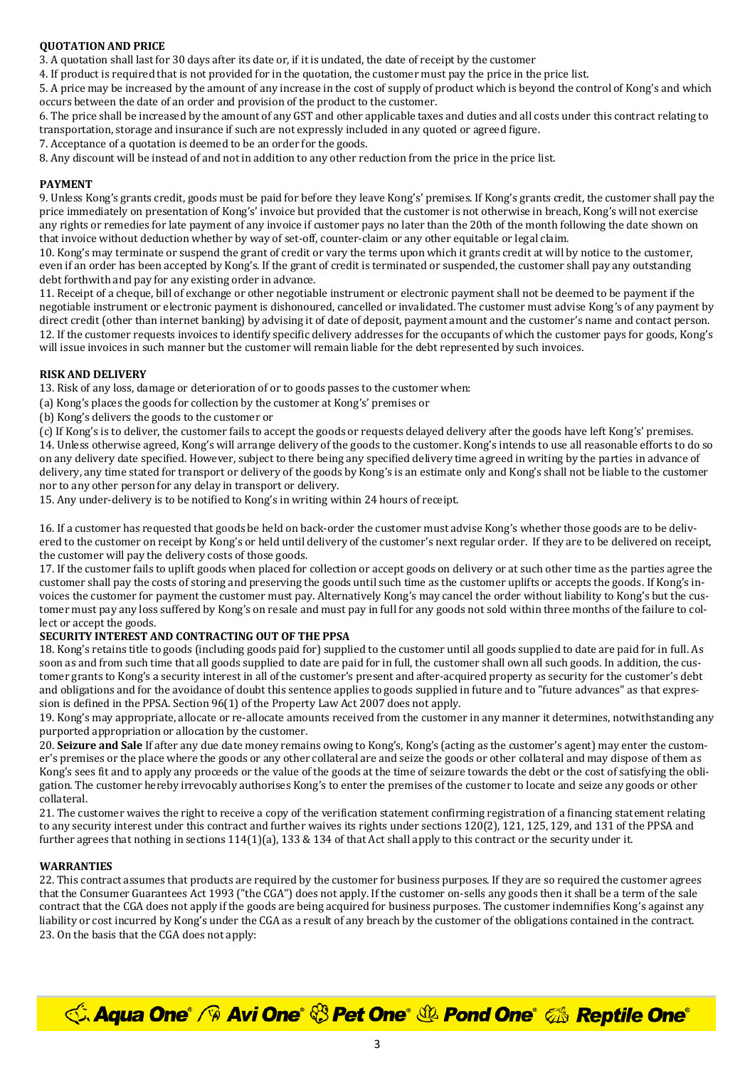# **QUOTATION AND PRICE**

3. A quotation shall last for 30 days after its date or, if it is undated, the date of receipt by the customer

4. If product is required that is not provided for in the quotation, the customer must pay the price in the price list.

5. A price may be increased by the amount of any increase in the cost of supply of product which is beyond the control of Kong's and which occurs between the date of an order and provision of the product to the customer.

6. The price shall be increased by the amount of any GST and other applicable taxes and duties and all costs under this contract relating to transportation, storage and insurance if such are not expressly included in any quoted or agreed figure.

7. Acceptance of a quotation is deemed to be an order for the goods.

8. Any discount will be instead of and not in addition to any other reduction from the price in the price list.

### **PAYMENT**

9. Unless Kong's grants credit, goods must be paid for before they leave Kong's' premises. If Kong's grants credit, the customer shall pay the price immediately on presentation of Kong's' invoice but provided that the customer is not otherwise in breach, Kong's will not exercise any rights or remedies for late payment of any invoice if customer pays no later than the 20th of the month following the date shown on that invoice without deduction whether by way of set-off, counter-claim or any other equitable or legal claim.

10. Kong's may terminate or suspend the grant of credit or vary the terms upon which it grants credit at will by notice to the customer, even if an order has been accepted by Kong's. If the grant of credit is terminated or suspended, the customer shall pay any outstanding debt forthwith and pay for any existing order in advance.

11. Receipt of a cheque, bill of exchange or other negotiable instrument or electronic payment shall not be deemed to be payment if the negotiable instrument or electronic payment is dishonoured, cancelled or invalidated. The customer must advise Kong's of any payment by direct credit (other than internet banking) by advising it of date of deposit, payment amount and the customer's name and contact person. 12. If the customer requests invoices to identify specific delivery addresses for the occupants of which the customer pays for goods, Kong's will issue invoices in such manner but the customer will remain liable for the debt represented by such invoices.

#### **RISK AND DELIVERY**

13. Risk of any loss, damage or deterioration of or to goods passes to the customer when:

(a) Kong's places the goods for collection by the customer at Kong's' premises or

(b) Kong's delivers the goods to the customer or

(c) If Kong's is to deliver, the customer fails to accept the goods or requests delayed delivery after the goods have left Kong's' premises. 14. Unless otherwise agreed, Kong's will arrange delivery of the goods to the customer. Kong's intends to use all reasonable efforts to do so on any delivery date specified. However, subject to there being any specified delivery time agreed in writing by the parties in advance of delivery, any time stated for transport or delivery of the goods by Kong's is an estimate only and Kong's shall not be liable to the customer nor to any other person for any delay in transport or delivery.

15. Any under-delivery is to be notified to Kong's in writing within 24 hours of receipt.

16. If a customer has requested that goods be held on back-order the customer must advise Kong's whether those goods are to be delivered to the customer on receipt by Kong's or held until delivery of the customer's next regular order. If they are to be delivered on receipt, the customer will pay the delivery costs of those goods.

17. If the customer fails to uplift goods when placed for collection or accept goods on delivery or at such other time as the parties agree the customer shall pay the costs of storing and preserving the goods until such time as the customer uplifts or accepts the goods. If Kong's invoices the customer for payment the customer must pay. Alternatively Kong's may cancel the order without liability to Kong's but the customer must pay any loss suffered by Kong's on resale and must pay in full for any goods not sold within three months of the failure to collect or accept the goods.

#### **SECURITY INTEREST AND CONTRACTING OUT OF THE PPSA**

18. Kong's retains title to goods (including goods paid for) supplied to the customer until all goods supplied to date are paid for in full. As soon as and from such time that all goods supplied to date are paid for in full, the customer shall own all such goods. In addition, the customer grants to Kong's a security interest in all of the customer's present and after-acquired property as security for the customer's debt and obligations and for the avoidance of doubt this sentence applies to goods supplied in future and to "future advances" as that expression is defined in the PPSA. Section 96(1) of the Property Law Act 2007 does not apply.

19. Kong's may appropriate, allocate or re-allocate amounts received from the customer in any manner it determines, notwithstanding any purported appropriation or allocation by the customer.

20. **Seizure and Sale** If after any due date money remains owing to Kong's, Kong's (acting as the customer's agent) may enter the customer's premises or the place where the goods or any other collateral are and seize the goods or other collateral and may dispose of them as Kong's sees fit and to apply any proceeds or the value of the goods at the time of seizure towards the debt or the cost of satisfying the obligation. The customer hereby irrevocably authorises Kong's to enter the premises of the customer to locate and seize any goods or other collateral.

21. The customer waives the right to receive a copy of the verification statement confirming registration of a financing statement relating to any security interest under this contract and further waives its rights under sections 120(2), 121, 125, 129, and 131 of the PPSA and further agrees that nothing in sections 114(1)(a), 133 & 134 of that Act shall apply to this contract or the security under it.

# **WARRANTIES**

22. This contract assumes that products are required by the customer for business purposes. If they are so required the customer agrees that the Consumer Guarantees Act 1993 ("the CGA") does not apply. If the customer on-sells any goods then it shall be a term of the sale contract that the CGA does not apply if the goods are being acquired for business purposes. The customer indemnifies Kong's against any liability or cost incurred by Kong's under the CGA as a result of any breach by the customer of the obligations contained in the contract. 23. On the basis that the CGA does not apply:

**C. Aqua One<sup>®</sup> / <sup>®</sup> Avi One® <sup>®</sup> Pet One® <sup>®</sup> Pond One®** *©* **Reptile One®**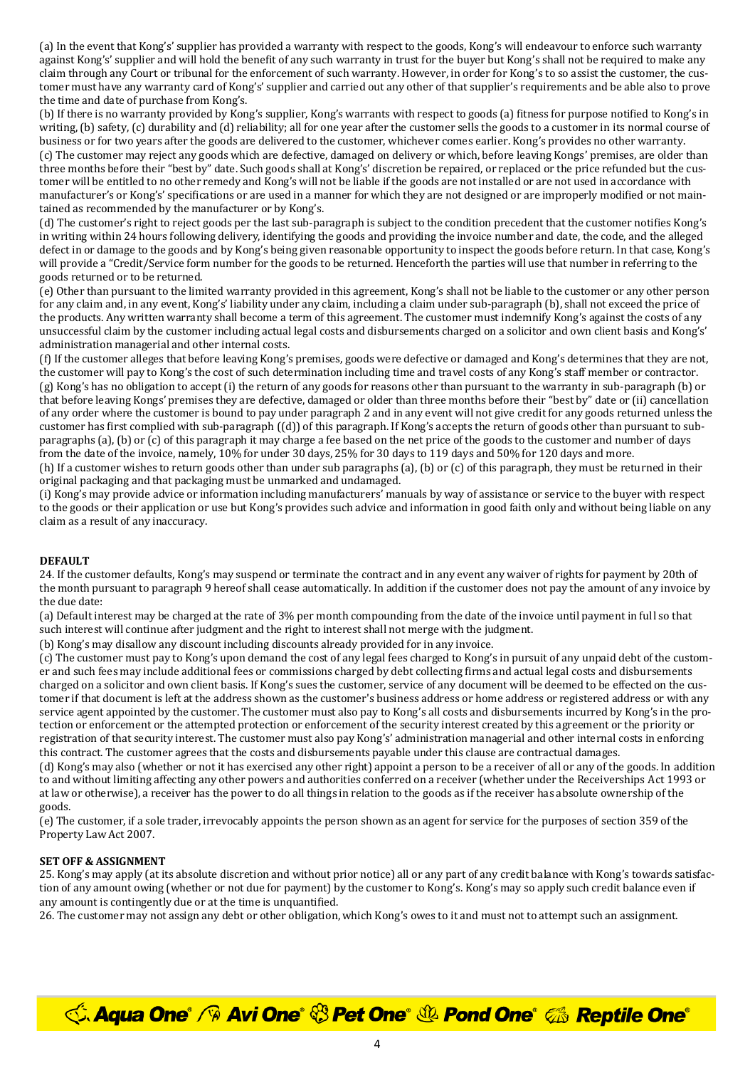(a) In the event that Kong's' supplier has provided a warranty with respect to the goods, Kong's will endeavour to enforce such warranty against Kong's' supplier and will hold the benefit of any such warranty in trust for the buyer but Kong's shall not be required to make any claim through any Court or tribunal for the enforcement of such warranty. However, in order for Kong's to so assist the customer, the customer must have any warranty card of Kong's' supplier and carried out any other of that supplier's requirements and be able also to prove the time and date of purchase from Kong's.

(b) If there is no warranty provided by Kong's supplier, Kong's warrants with respect to goods (a) fitness for purpose notified to Kong's in writing, (b) safety, (c) durability and (d) reliability; all for one year after the customer sells the goods to a customer in its normal course of business or for two years after the goods are delivered to the customer, whichever comes earlier. Kong's provides no other warranty. (c) The customer may reject any goods which are defective, damaged on delivery or which, before leaving Kongs' premises, are older than three months before their "best by" date. Such goods shall at Kong's' discretion be repaired, or replaced or the price refunded but the customer will be entitled to no other remedy and Kong's will not be liable if the goods are not installed or are not used in accordance with manufacturer's or Kong's' specifications or are used in a manner for which they are not designed or are improperly modified or not maintained as recommended by the manufacturer or by Kong's.

(d) The customer's right to reject goods per the last sub-paragraph is subject to the condition precedent that the customer notifies Kong's in writing within 24 hours following delivery, identifying the goods and providing the invoice number and date, the code, and the alleged defect in or damage to the goods and by Kong's being given reasonable opportunity to inspect the goods before return. In that case, Kong's will provide a "Credit/Service form number for the goods to be returned. Henceforth the parties will use that number in referring to the goods returned or to be returned.

(e) Other than pursuant to the limited warranty provided in this agreement, Kong's shall not be liable to the customer or any other person for any claim and, in any event, Kong's' liability under any claim, including a claim under sub-paragraph (b), shall not exceed the price of the products. Any written warranty shall become a term of this agreement. The customer must indemnify Kong's against the costs of any unsuccessful claim by the customer including actual legal costs and disbursements charged on a solicitor and own client basis and Kong's' administration managerial and other internal costs.

(f) If the customer alleges that before leaving Kong's premises, goods were defective or damaged and Kong's determines that they are not, the customer will pay to Kong's the cost of such determination including time and travel costs of any Kong's staff member or contractor. (g) Kong's has no obligation to accept (i) the return of any goods for reasons other than pursuant to the warranty in sub-paragraph (b) or that before leaving Kongs' premises they are defective, damaged or older than three months before their "best by" date or (ii) cancellation of any order where the customer is bound to pay under paragraph 2 and in any event will not give credit for any goods returned unless the customer has first complied with sub-paragraph ((d)) of this paragraph. If Kong's accepts the return of goods other than pursuant to subparagraphs (a), (b) or (c) of this paragraph it may charge a fee based on the net price of the goods to the customer and number of days from the date of the invoice, namely, 10% for under 30 days, 25% for 30 days to 119 days and 50% for 120 days and more.

(h) If a customer wishes to return goods other than under sub paragraphs (a), (b) or (c) of this paragraph, they must be returned in their original packaging and that packaging must be unmarked and undamaged.

(i) Kong's may provide advice or information including manufacturers' manuals by way of assistance or service to the buyer with respect to the goods or their application or use but Kong's provides such advice and information in good faith only and without being liable on any claim as a result of any inaccuracy.

#### **DEFAULT**

24. If the customer defaults, Kong's may suspend or terminate the contract and in any event any waiver of rights for payment by 20th of the month pursuant to paragraph 9 hereof shall cease automatically. In addition if the customer does not pay the amount of any invoice by the due date:

(a) Default interest may be charged at the rate of 3% per month compounding from the date of the invoice until payment in full so that such interest will continue after judgment and the right to interest shall not merge with the judgment.

(b) Kong's may disallow any discount including discounts already provided for in any invoice.

(c) The customer must pay to Kong's upon demand the cost of any legal fees charged to Kong's in pursuit of any unpaid debt of the customer and such fees may include additional fees or commissions charged by debt collecting firms and actual legal costs and disbursements charged on a solicitor and own client basis. If Kong's sues the customer, service of any document will be deemed to be effected on the customer if that document is left at the address shown as the customer's business address or home address or registered address or with any service agent appointed by the customer. The customer must also pay to Kong's all costs and disbursements incurred by Kong's in the protection or enforcement or the attempted protection or enforcement of the security interest created by this agreement or the priority or registration of that security interest. The customer must also pay Kong's' administration managerial and other internal costs in enforcing this contract. The customer agrees that the costs and disbursements payable under this clause are contractual damages.

(d) Kong's may also (whether or not it has exercised any other right) appoint a person to be a receiver of all or any of the goods. In addition to and without limiting affecting any other powers and authorities conferred on a receiver (whether under the Receiverships Act 1993 or at law or otherwise), a receiver has the power to do all things in relation to the goods as if the receiver has absolute ownership of the goods.

(e) The customer, if a sole trader, irrevocably appoints the person shown as an agent for service for the purposes of section 359 of the Property Law Act 2007.

#### **SET OFF & ASSIGNMENT**

25. Kong's may apply (at its absolute discretion and without prior notice) all or any part of any credit balance with Kong's towards satisfaction of any amount owing (whether or not due for payment) by the customer to Kong's. Kong's may so apply such credit balance even if any amount is contingently due or at the time is unquantified.

26. The customer may not assign any debt or other obligation, which Kong's owes to it and must not to attempt such an assignment.

**C. Aqua One<sup>®</sup> / <sup>®</sup> Avi One® <sup>®</sup> Pet One® <sup>®</sup> Pond One®** *©* **Reptile One®**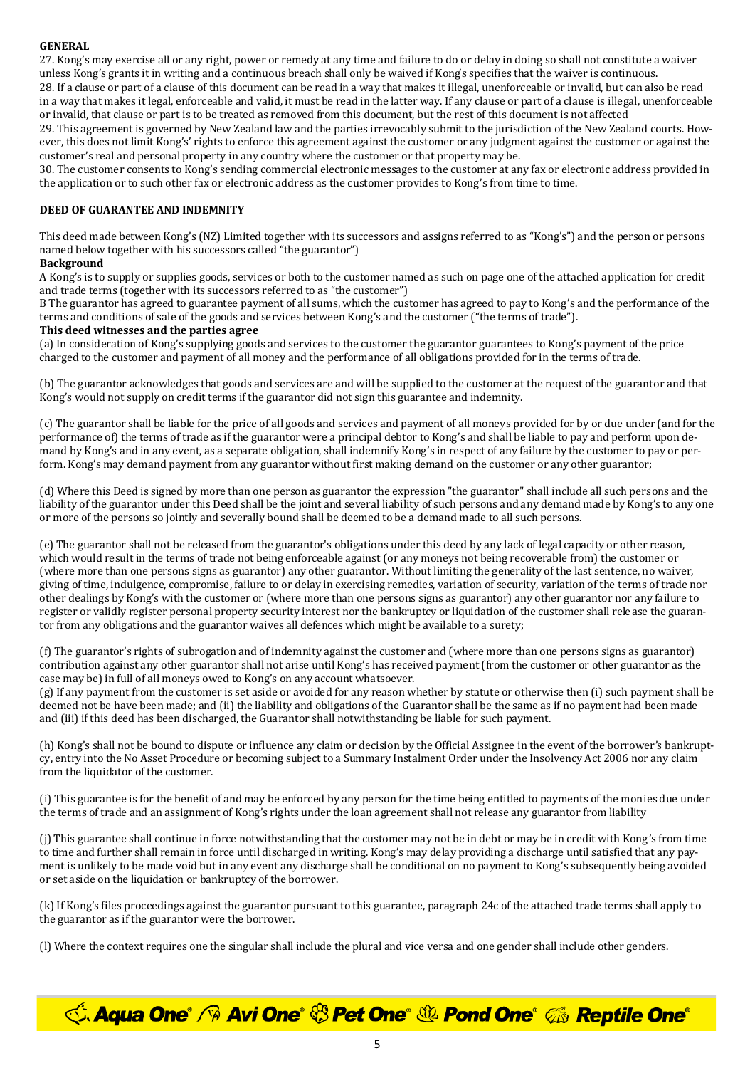# **GENERAL**

27. Kong's may exercise all or any right, power or remedy at any time and failure to do or delay in doing so shall not constitute a waiver unless Kong's grants it in writing and a continuous breach shall only be waived if Kong's specifies that the waiver is continuous.

28. If a clause or part of a clause of this document can be read in a way that makes it illegal, unenforceable or invalid, but can also be read in a way that makes it legal, enforceable and valid, it must be read in the latter way. If any clause or part of a clause is illegal, unenforceable or invalid, that clause or part is to be treated as removed from this document, but the rest of this document is not affected

29. This agreement is governed by New Zealand law and the parties irrevocably submit to the jurisdiction of the New Zealand courts. However, this does not limit Kong's' rights to enforce this agreement against the customer or any judgment against the customer or against the customer's real and personal property in any country where the customer or that property may be.

30. The customer consents to Kong's sending commercial electronic messages to the customer at any fax or electronic address provided in the application or to such other fax or electronic address as the customer provides to Kong's from time to time.

#### **DEED OF GUARANTEE AND INDEMNITY**

This deed made between Kong's (NZ) Limited together with its successors and assigns referred to as "Kong's") and the person or persons named below together with his successors called "the guarantor")

#### **Background**

A Kong's is to supply or supplies goods, services or both to the customer named as such on page one of the attached application for credit and trade terms (together with its successors referred to as "the customer")

B The guarantor has agreed to guarantee payment of all sums, which the customer has agreed to pay to Kong's and the performance of the terms and conditions of sale of the goods and services between Kong's and the customer ("the terms of trade").

#### **This deed witnesses and the parties agree**

(a) In consideration of Kong's supplying goods and services to the customer the guarantor guarantees to Kong's payment of the price charged to the customer and payment of all money and the performance of all obligations provided for in the terms of trade.

(b) The guarantor acknowledges that goods and services are and will be supplied to the customer at the request of the guarantor and that Kong's would not supply on credit terms if the guarantor did not sign this guarantee and indemnity.

(c) The guarantor shall be liable for the price of all goods and services and payment of all moneys provided for by or due under (and for the performance of) the terms of trade as if the guarantor were a principal debtor to Kong's and shall be liable to pay and perform upon demand by Kong's and in any event, as a separate obligation, shall indemnify Kong's in respect of any failure by the customer to pay or perform. Kong's may demand payment from any guarantor without first making demand on the customer or any other guarantor;

(d) Where this Deed is signed by more than one person as guarantor the expression "the guarantor" shall include all such persons and the liability of the guarantor under this Deed shall be the joint and several liability of such persons and any demand made by Kong's to any one or more of the persons so jointly and severally bound shall be deemed to be a demand made to all such persons.

(e) The guarantor shall not be released from the guarantor's obligations under this deed by any lack of legal capacity or other reason, which would result in the terms of trade not being enforceable against (or any moneys not being recoverable from) the customer or (where more than one persons signs as guarantor) any other guarantor. Without limiting the generality of the last sentence, no waiver, giving of time, indulgence, compromise, failure to or delay in exercising remedies, variation of security, variation of the terms of trade nor other dealings by Kong's with the customer or (where more than one persons signs as guarantor) any other guarantor nor any failure to register or validly register personal property security interest nor the bankruptcy or liquidation of the customer shall release the guarantor from any obligations and the guarantor waives all defences which might be available to a surety;

(f) The guarantor's rights of subrogation and of indemnity against the customer and (where more than one persons signs as guarantor) contribution against any other guarantor shall not arise until Kong's has received payment (from the customer or other guarantor as the case may be) in full of all moneys owed to Kong's on any account whatsoever.

(g) If any payment from the customer is set aside or avoided for any reason whether by statute or otherwise then (i) such payment shall be deemed not be have been made; and (ii) the liability and obligations of the Guarantor shall be the same as if no payment had been made and (iii) if this deed has been discharged, the Guarantor shall notwithstanding be liable for such payment.

(h) Kong's shall not be bound to dispute or influence any claim or decision by the Official Assignee in the event of the borrower's bankruptcy, entry into the No Asset Procedure or becoming subject to a Summary Instalment Order under the Insolvency Act 2006 nor any claim from the liquidator of the customer.

(i) This guarantee is for the benefit of and may be enforced by any person for the time being entitled to payments of the monies due under the terms of trade and an assignment of Kong's rights under the loan agreement shall not release any guarantor from liability

(j) This guarantee shall continue in force notwithstanding that the customer may not be in debt or may be in credit with Kong's from time to time and further shall remain in force until discharged in writing. Kong's may delay providing a discharge until satisfied that any payment is unlikely to be made void but in any event any discharge shall be conditional on no payment to Kong's subsequently being avoided or set aside on the liquidation or bankruptcy of the borrower.

(k) If Kong's files proceedings against the guarantor pursuant to this guarantee, paragraph 24c of the attached trade terms shall apply to the guarantor as if the guarantor were the borrower.

(l) Where the context requires one the singular shall include the plural and vice versa and one gender shall include other genders.

*<u><b>√Aqua One° / Avi One° <sup>†</sup> Pet One° <sup>†</sup> Pond One° ‰ Reptile One°*</u>